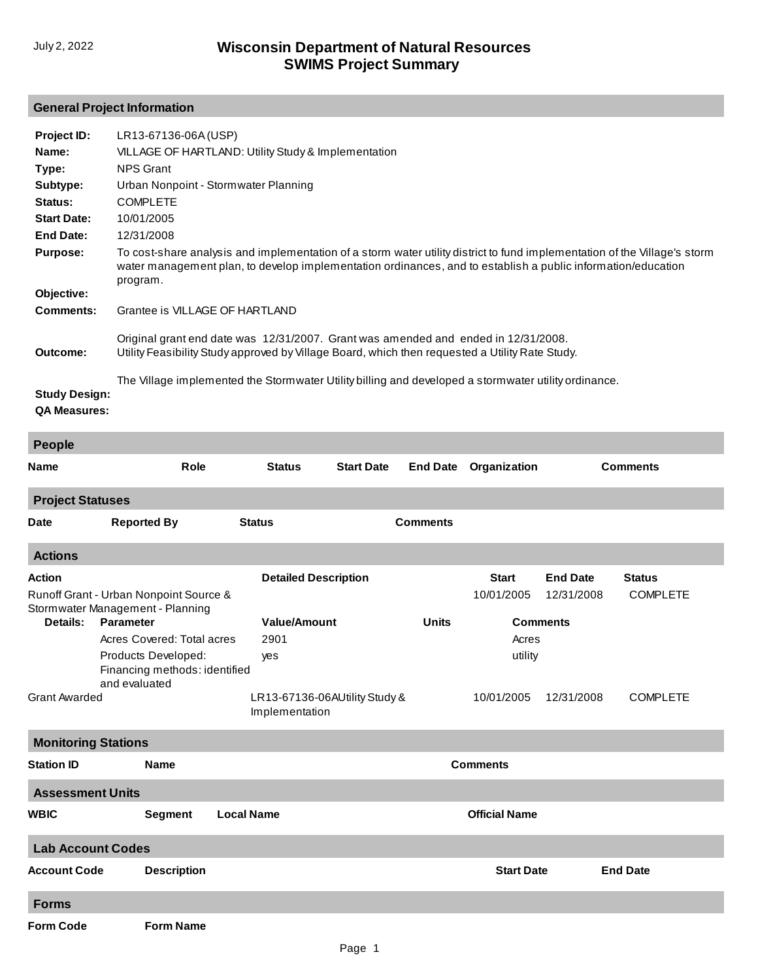## **General Project Information**

| Project ID:                                 | LR13-67136-06A (USP)                                                                                                                                                                                                                                  |
|---------------------------------------------|-------------------------------------------------------------------------------------------------------------------------------------------------------------------------------------------------------------------------------------------------------|
| Name:                                       | VILLAGE OF HARTLAND: Utility Study & Implementation                                                                                                                                                                                                   |
| Type:                                       | <b>NPS Grant</b>                                                                                                                                                                                                                                      |
| Subtype:                                    | Urban Nonpoint - Stormwater Planning                                                                                                                                                                                                                  |
| Status:                                     | <b>COMPLETE</b>                                                                                                                                                                                                                                       |
| <b>Start Date:</b>                          | 10/01/2005                                                                                                                                                                                                                                            |
| End Date:                                   | 12/31/2008                                                                                                                                                                                                                                            |
| <b>Purpose:</b>                             | To cost-share analysis and implementation of a storm water utility district to fund implementation of the Village's storm<br>water management plan, to develop implementation ordinances, and to establish a public information/education<br>program. |
| Objective:                                  |                                                                                                                                                                                                                                                       |
| <b>Comments:</b>                            | Grantee is VILLAGE OF HARTLAND                                                                                                                                                                                                                        |
| Outcome:                                    | Original grant end date was 12/31/2007. Grant was amended and ended in 12/31/2008.<br>Utility Feasibility Study approved by Village Board, which then requested a Utility Rate Study.                                                                 |
| <b>Study Design:</b><br><b>QA Measures:</b> | The Village implemented the Stormwater Utility billing and developed a stormwater utility ordinance.                                                                                                                                                  |
| People                                      |                                                                                                                                                                                                                                                       |

| <b>Name</b>                | <b>Role</b>                                                                | <b>Status</b>               | <b>Start Date</b>             | <b>End Date</b> | Organization         |                 | <b>Comments</b> |
|----------------------------|----------------------------------------------------------------------------|-----------------------------|-------------------------------|-----------------|----------------------|-----------------|-----------------|
| <b>Project Statuses</b>    |                                                                            |                             |                               |                 |                      |                 |                 |
| <b>Date</b>                | <b>Reported By</b>                                                         | <b>Status</b>               |                               | <b>Comments</b> |                      |                 |                 |
| <b>Actions</b>             |                                                                            |                             |                               |                 |                      |                 |                 |
| <b>Action</b>              |                                                                            | <b>Detailed Description</b> |                               |                 | <b>Start</b>         | <b>End Date</b> | <b>Status</b>   |
|                            | Runoff Grant - Urban Nonpoint Source &<br>Stormwater Management - Planning |                             |                               |                 | 10/01/2005           | 12/31/2008      | <b>COMPLETE</b> |
| Details:                   | <b>Parameter</b>                                                           | <b>Value/Amount</b>         |                               | <b>Units</b>    |                      | <b>Comments</b> |                 |
|                            | Acres Covered: Total acres                                                 | 2901                        |                               |                 | Acres                |                 |                 |
|                            | Products Developed:<br>Financing methods: identified<br>and evaluated      | yes                         |                               |                 | utility              |                 |                 |
| <b>Grant Awarded</b>       |                                                                            | Implementation              | LR13-67136-06AUtility Study & |                 | 10/01/2005           | 12/31/2008      | <b>COMPLETE</b> |
| <b>Monitoring Stations</b> |                                                                            |                             |                               |                 |                      |                 |                 |
| <b>Station ID</b>          | <b>Name</b>                                                                |                             |                               | <b>Comments</b> |                      |                 |                 |
| <b>Assessment Units</b>    |                                                                            |                             |                               |                 |                      |                 |                 |
| <b>WBIC</b>                | <b>Segment</b>                                                             | <b>Local Name</b>           |                               |                 | <b>Official Name</b> |                 |                 |
| <b>Lab Account Codes</b>   |                                                                            |                             |                               |                 |                      |                 |                 |
| <b>Account Code</b>        | <b>Description</b>                                                         |                             |                               |                 | <b>Start Date</b>    |                 | <b>End Date</b> |
| <b>Forms</b>               |                                                                            |                             |                               |                 |                      |                 |                 |
| <b>Form Code</b>           | <b>Form Name</b>                                                           |                             |                               |                 |                      |                 |                 |